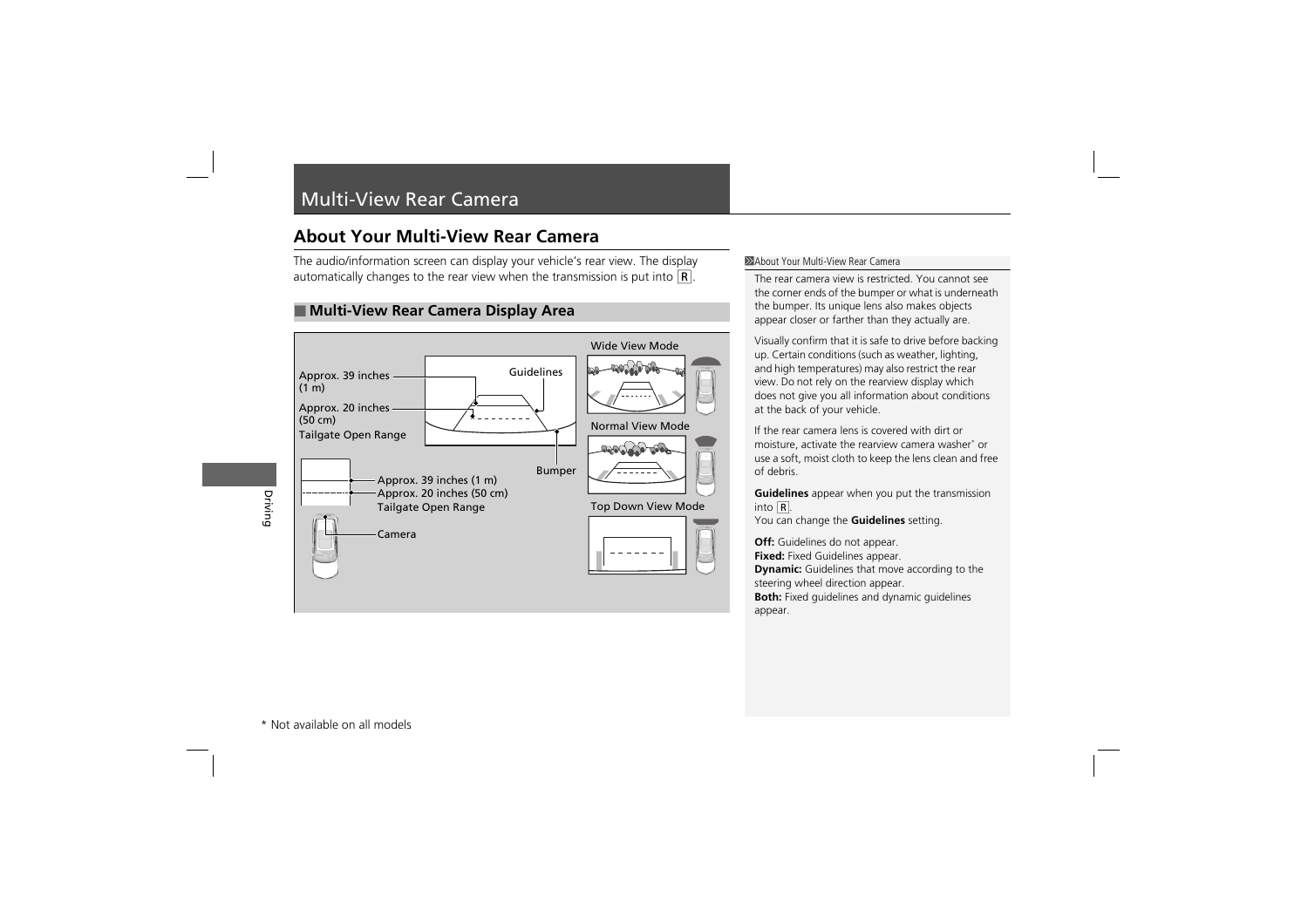## Multi-View Rear Camera

## **About Your Multi-View Rear Camera**

The audio/information screen can display your vehicle's rear view. The display automatically changes to the rear view when the transmission is put into  $\mathbf{R}$ .

## ■ **Multi-View Rear Camera Display Area**



## 1About Your Multi-View Rear Camera

The rear camera view is restricted. You cannot see the corner ends of the bumper or what is underneath the bumper. Its unique lens also makes objects appear closer or farther than they actually are.

Visually confirm that it is safe to drive before backing up. Certain conditions (such as weather, lighting, and high temperatures) may also restrict the rear view. Do not rely on the rearview display which does not give you all information about conditions at the back of your vehicle.

If the rear camera lens is covered with dirt or moisture, activate the rearview camera washer\* or use a soft, moist cloth to keep the lens clean and free of debris.

**Guidelines** appear when you put the transmission into (R.

You can change the **Guidelines** setting.

**Off:** Guidelines do not appear. **Fixed:** Fixed Guidelines appear.

**Dynamic:** Guidelines that move according to the steering wheel direction appear.

**Both:** Fixed guidelines and dynamic guidelines appear.

Driving